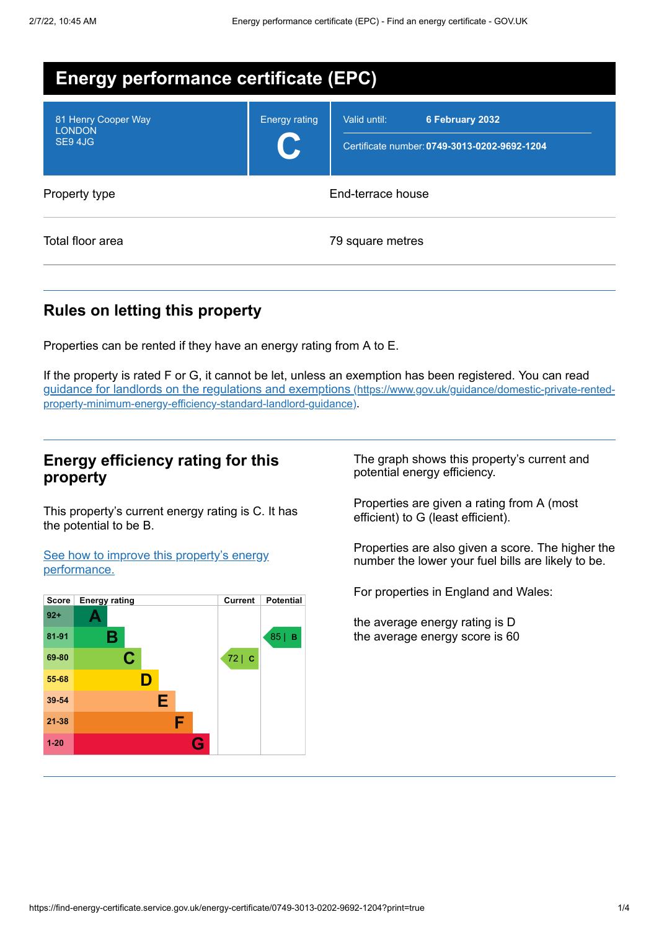| <b>Energy performance certificate (EPC)</b>    |                      |                                                                                 |  |
|------------------------------------------------|----------------------|---------------------------------------------------------------------------------|--|
| 81 Henry Cooper Way<br><b>LONDON</b><br>SE94JG | <b>Energy rating</b> | Valid until:<br>6 February 2032<br>Certificate number: 0749-3013-0202-9692-1204 |  |
| Property type                                  | End-terrace house    |                                                                                 |  |
| Total floor area                               | 79 square metres     |                                                                                 |  |

## **Rules on letting this property**

Properties can be rented if they have an energy rating from A to E.

If the property is rated F or G, it cannot be let, unless an exemption has been registered. You can read guidance for landlords on the regulations and exemptions (https://www.gov.uk/guidance/domestic-private-rented[property-minimum-energy-efficiency-standard-landlord-guidance\)](https://www.gov.uk/guidance/domestic-private-rented-property-minimum-energy-efficiency-standard-landlord-guidance).

### **Energy efficiency rating for this property**

This property's current energy rating is C. It has the potential to be B.

See how to improve this property's energy [performance.](#page-2-0)



The graph shows this property's current and potential energy efficiency.

Properties are given a rating from A (most efficient) to G (least efficient).

Properties are also given a score. The higher the number the lower your fuel bills are likely to be.

For properties in England and Wales:

the average energy rating is D the average energy score is 60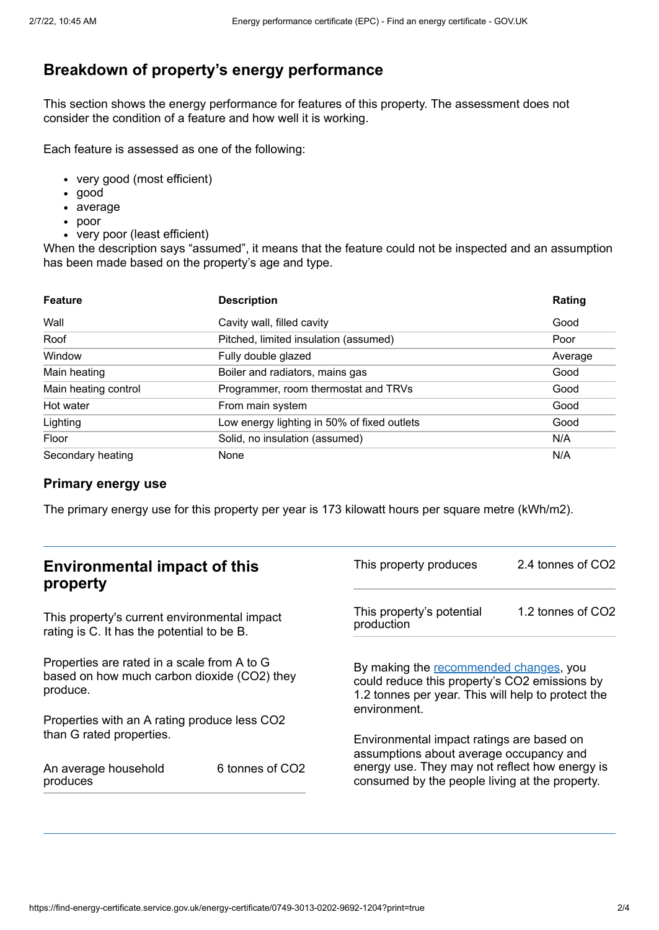## **Breakdown of property's energy performance**

This section shows the energy performance for features of this property. The assessment does not consider the condition of a feature and how well it is working.

Each feature is assessed as one of the following:

- very good (most efficient)
- good
- average
- poor
- very poor (least efficient)

When the description says "assumed", it means that the feature could not be inspected and an assumption has been made based on the property's age and type.

| <b>Feature</b>       | <b>Description</b>                          | Rating  |
|----------------------|---------------------------------------------|---------|
| Wall                 | Cavity wall, filled cavity                  | Good    |
| Roof                 | Pitched, limited insulation (assumed)       | Poor    |
| Window               | Fully double glazed                         | Average |
| Main heating         | Boiler and radiators, mains gas             | Good    |
| Main heating control | Programmer, room thermostat and TRVs        | Good    |
| Hot water            | From main system                            | Good    |
| Lighting             | Low energy lighting in 50% of fixed outlets | Good    |
| Floor                | Solid, no insulation (assumed)              | N/A     |
| Secondary heating    | None                                        | N/A     |

#### **Primary energy use**

The primary energy use for this property per year is 173 kilowatt hours per square metre (kWh/m2).

| <b>Environmental impact of this</b><br>property                                                        |  | This property produces                                                                                                                                        | 2.4 tonnes of CO2 |
|--------------------------------------------------------------------------------------------------------|--|---------------------------------------------------------------------------------------------------------------------------------------------------------------|-------------------|
| This property's current environmental impact<br>rating is C. It has the potential to be B.             |  | This property's potential<br>production                                                                                                                       | 1.2 tonnes of CO2 |
| Properties are rated in a scale from A to G<br>based on how much carbon dioxide (CO2) they<br>produce. |  | By making the recommended changes, you<br>could reduce this property's CO2 emissions by<br>1.2 tonnes per year. This will help to protect the<br>environment. |                   |
| Properties with an A rating produce less CO2                                                           |  |                                                                                                                                                               |                   |
| than G rated properties.                                                                               |  | Environmental impact ratings are based on<br>assumptions about average occupancy and                                                                          |                   |
| 6 tonnes of CO2<br>An average household<br>produces                                                    |  | energy use. They may not reflect how energy is<br>consumed by the people living at the property.                                                              |                   |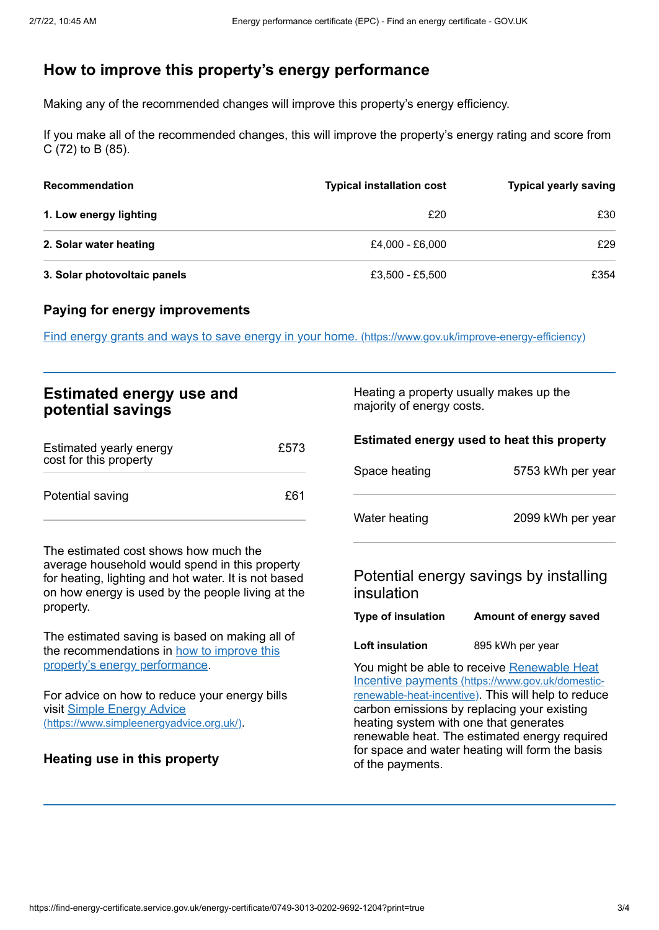## <span id="page-2-0"></span>**How to improve this property's energy performance**

Making any of the recommended changes will improve this property's energy efficiency.

If you make all of the recommended changes, this will improve the property's energy rating and score from C (72) to B (85).

| Recommendation               | <b>Typical installation cost</b> | <b>Typical yearly saving</b> |
|------------------------------|----------------------------------|------------------------------|
| 1. Low energy lighting       | £20                              | £30                          |
| 2. Solar water heating       | £4.000 - £6.000                  | £29                          |
| 3. Solar photovoltaic panels | £3,500 - £5,500                  | £354                         |

#### **Paying for energy improvements**

Find energy grants and ways to save energy in your home. [\(https://www.gov.uk/improve-energy-efficiency\)](https://www.gov.uk/improve-energy-efficiency)

| <b>Estimated energy use and</b><br>potential savings                                                                                                                                                 |      | Heating a property usually makes up the<br>majority of energy costs.                                                                                                                                                                                                                                                                                |                                                                  |
|------------------------------------------------------------------------------------------------------------------------------------------------------------------------------------------------------|------|-----------------------------------------------------------------------------------------------------------------------------------------------------------------------------------------------------------------------------------------------------------------------------------------------------------------------------------------------------|------------------------------------------------------------------|
| Estimated yearly energy<br>cost for this property                                                                                                                                                    | £573 | Space heating                                                                                                                                                                                                                                                                                                                                       | Estimated energy used to heat this property<br>5753 kWh per year |
| Potential saving                                                                                                                                                                                     | £61  | Water heating                                                                                                                                                                                                                                                                                                                                       | 2099 kWh per year                                                |
| The estimated cost shows how much the<br>average household would spend in this property<br>for heating, lighting and hot water. It is not based<br>on how energy is used by the people living at the |      | insulation                                                                                                                                                                                                                                                                                                                                          | Potential energy savings by installing                           |
| property.                                                                                                                                                                                            |      | Type of insulation                                                                                                                                                                                                                                                                                                                                  | Amount of energy saved                                           |
| The estimated saving is based on making all of<br>the recommendations in how to improve this                                                                                                         |      | Loft insulation                                                                                                                                                                                                                                                                                                                                     | 895 kWh per year                                                 |
| property's energy performance.<br>For advice on how to reduce your energy bills<br>visit <u>Simple Energy Advice</u><br>(https://www.simpleenergyadvice.org.uk/).                                    |      | You might be able to receive Renewable Heat<br>Incentive payments (https://www.gov.uk/domestic-<br>renewable-heat-incentive). This will help to reduce<br>carbon emissions by replacing your existing<br>heating system with one that generates<br>renewable heat. The estimated energy required<br>for space and water heating will form the basis |                                                                  |
| <b>Heating use in this property</b>                                                                                                                                                                  |      | of the payments.                                                                                                                                                                                                                                                                                                                                    |                                                                  |